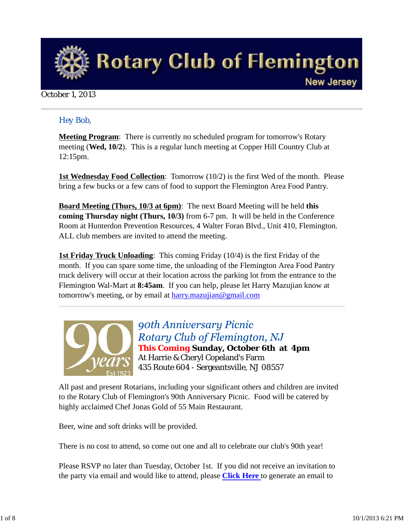

#### October 1, 2013

#### *Hey Bob,*

**Meeting Program**: There is currently no scheduled program for tomorrow's Rotary meeting (**Wed, 10/2**). This is a regular lunch meeting at Copper Hill Country Club at 12:15pm.

**1st Wednesday Food Collection**: Tomorrow (10/2) is the first Wed of the month. Please bring a few bucks or a few cans of food to support the Flemington Area Food Pantry.

**Board Meeting (Thurs, 10/3 at 6pm)**: The next Board Meeting will be held **this coming Thursday night (Thurs, 10/3)** from 6-7 pm. It will be held in the Conference Room at Hunterdon Prevention Resources, 4 Walter Foran Blvd., Unit 410, Flemington. ALL club members are invited to attend the meeting.

**1st Friday Truck Unloading**: This coming Friday (10/4) is the first Friday of the month. If you can spare some time, the unloading of the Flemington Area Food Pantry truck delivery will occur at their location across the parking lot from the entrance to the Flemington Wal-Mart at **8:45am**. If you can help, please let Harry Mazujian know at tomorrow's meeting, or by email at harry.mazujian@gmail.com



90th Anniversary Picnic Rotary Club of Flemington, NJ *This Coming* **Sunday, October 6th at 4pm** At Harrie & Cheryl Copeland's Farm 435 Route 604 - Sergeantsville, NJ 08557

All past and present Rotarians, including your significant others and children are invited to the Rotary Club of Flemington's 90th Anniversary Picnic. Food will be catered by highly acclaimed Chef Jonas Gold of 55 Main Restaurant.

Beer, wine and soft drinks will be provided.

There is no cost to attend, so come out one and all to celebrate our club's 90th year!

Please RSVP no later than Tuesday, October 1st. If you did not receive an invitation to the party via email and would like to attend, please **Click Here** to generate an email to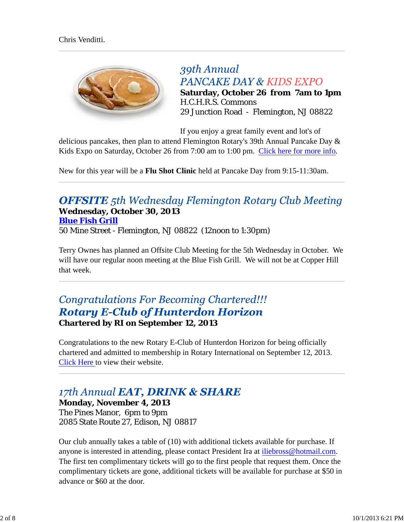

39th Annual **PANCAKE DAY & KIDS EXPO Saturday, October 26 from 7am to 1pm** H.C.H.R.S. Commons 29 Junction Road - Flemington, NJ 08822

If you enjoy a great family event and lot's of

delicious pancakes, then plan to attend Flemington Rotary's 39th Annual Pancake Day & Kids Expo on Saturday, October 26 from 7:00 am to 1:00 pm. Click here for more info.

New for this year will be a **Flu Shot Clinic** held at Pancake Day from 9:15-11:30am.

### **OFFSITE** 5th Wednesday Flemington Rotary Club Meeting **Wednesday, October 30, 2013 Blue Fish Grill**

50 Mine Street - Flemington, NJ 08822 (12noon to 1:30pm)

Terry Ownes has planned an Offsite Club Meeting for the 5th Wednesday in October. We will have our regular noon meeting at the Blue Fish Grill. We will not be at Copper Hill that week.

### **Congratulations For Becoming Chartered!!! Rotary E-Club of Hunterdon Horizon Chartered by RI on September 12, 2013**

Congratulations to the new Rotary E-Club of Hunterdon Horizon for being officially chartered and admitted to membership in Rotary International on September 12, 2013. Click Here to view their website.

## 17th Annual EAT, DRINK & SHARE

**Monday, November 4, 2013** The Pines Manor, 6pm to 9pm 2085 State Route 27, Edison, NJ 08817

Our club annually takes a table of (10) with additional tickets available for purchase. If anyone is interested in attending, please contact President Ira at iliebross@hotmail.com. The first ten complimentary tickets will go to the first people that request them. Once the complimentary tickets are gone, additional tickets will be available for purchase at \$50 in advance or \$60 at the door.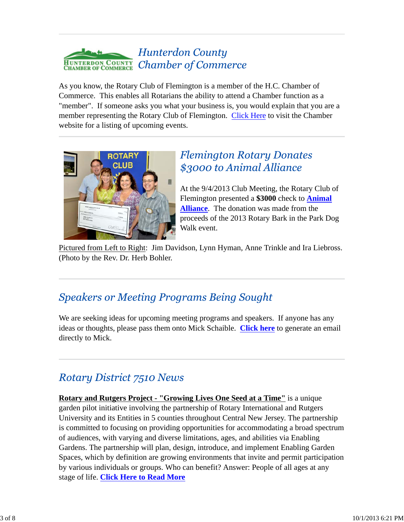#### **Hunterdon County Chamber of Commerce HUNTERDON COUNTY CHAMBER OF COMMERCE**

As you know, the Rotary Club of Flemington is a member of the H.C. Chamber of Commerce. This enables all Rotarians the ability to attend a Chamber function as a "member". If someone asks you what your business is, you would explain that you are a member representing the Rotary Club of Flemington. Click Here to visit the Chamber website for a listing of upcoming events.



## **Flemington Rotary Donates** \$3000 to Animal Alliance

At the 9/4/2013 Club Meeting, the Rotary Club of Flemington presented a **\$3000** check to **Animal Alliance**. The donation was made from the proceeds of the 2013 Rotary Bark in the Park Dog Walk event.

Pictured from Left to Right: Jim Davidson, Lynn Hyman, Anne Trinkle and Ira Liebross. (Photo by the Rev. Dr. Herb Bohler.

# **Speakers or Meeting Programs Being Sought**

We are seeking ideas for upcoming meeting programs and speakers. If anyone has any ideas or thoughts, please pass them onto Mick Schaible. **Click here** to generate an email directly to Mick.

# **Rotary District 7510 News**

**Rotary and Rutgers Project - "Growing Lives One Seed at a Time"** is a unique garden pilot initiative involving the partnership of Rotary International and Rutgers University and its Entities in 5 counties throughout Central New Jersey. The partnership is committed to focusing on providing opportunities for accommodating a broad spectrum of audiences, with varying and diverse limitations, ages, and abilities via Enabling Gardens. The partnership will plan, design, introduce, and implement Enabling Garden Spaces, which by definition are growing environments that invite and permit participation by various individuals or groups. Who can benefit? Answer: People of all ages at any stage of life. **Click Here to Read More**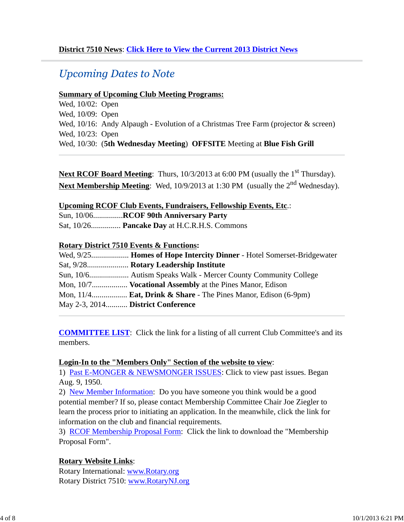### **Upcoming Dates to Note**

#### **Summary of Upcoming Club Meeting Programs:**

Wed, 10/02: Open Wed, 10/09: Open Wed, 10/16: Andy Alpaugh - Evolution of a Christmas Tree Farm (projector & screen) Wed, 10/23: Open Wed, 10/30: (**5th Wednesday Meeting**) **OFFSITE** Meeting at **Blue Fish Grill**

**Next RCOF Board Meeting**: Thurs, 10/3/2013 at 6:00 PM (usually the 1<sup>st</sup> Thursday). **Next Membership Meeting**: Wed, 10/9/2013 at 1:30 PM (usually the 2<sup>nd</sup> Wednesday).

#### **Upcoming RCOF Club Events, Fundraisers, Fellowship Events, Etc**.:

Sun, 10/06...............**RCOF 90th Anniversary Party**

Sat, 10/26............... **Pancake Day** at H.C.R.H.S. Commons

#### **Rotary District 7510 Events & Functions:**

|                                   | Mon, $11/4$ <b>Eat, Drink &amp; Share</b> - The Pines Manor, Edison (6-9pm) |
|-----------------------------------|-----------------------------------------------------------------------------|
| May 2-3, 2014 District Conference |                                                                             |

**COMMITTEE LIST**: Click the link for a listing of all current Club Committee's and its members.

#### **Login-In to the "Members Only" Section of the website to view**:

1) Past E-MONGER & NEWSMONGER ISSUES: Click to view past issues. Began Aug. 9, 1950.

2) New Member Information: Do you have someone you think would be a good potential member? If so, please contact Membership Committee Chair Joe Ziegler to learn the process prior to initiating an application. In the meanwhile, click the link for information on the club and financial requirements.

3) RCOF Membership Proposal Form: Click the link to download the "Membership Proposal Form".

#### **Rotary Website Links**:

Rotary International: www.Rotary.org Rotary District 7510: www.RotaryNJ.org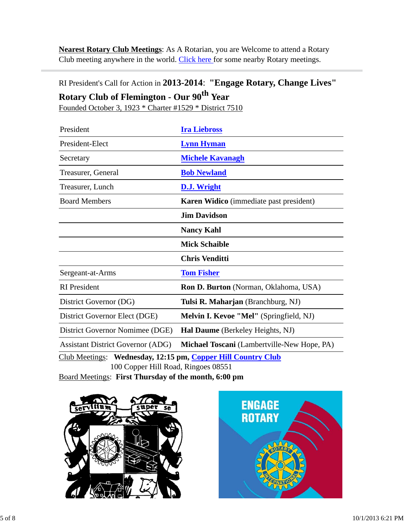**Nearest Rotary Club Meetings**: As A Rotarian, you are Welcome to attend a Rotary Club meeting anywhere in the world. Click here for some nearby Rotary meetings.

### RI President's Call for Action in **2013-2014**: **"Engage Rotary, Change Lives" Rotary Club of Flemington - Our 90th Year**

Founded October 3, 1923 \* Charter #1529 \* District 7510

| President                                                                                           | <b>Ira Liebross</b>                            |  |  |  |
|-----------------------------------------------------------------------------------------------------|------------------------------------------------|--|--|--|
| President-Elect                                                                                     | <b>Lynn Hyman</b>                              |  |  |  |
| Secretary                                                                                           | <b>Michele Kavanagh</b>                        |  |  |  |
| Treasurer, General                                                                                  | <b>Bob Newland</b>                             |  |  |  |
| Treasurer, Lunch                                                                                    | <b>D.J. Wright</b>                             |  |  |  |
| <b>Board Members</b>                                                                                | <b>Karen Widico</b> (immediate past president) |  |  |  |
|                                                                                                     | <b>Jim Davidson</b>                            |  |  |  |
|                                                                                                     | <b>Nancy Kahl</b>                              |  |  |  |
|                                                                                                     | <b>Mick Schaible</b>                           |  |  |  |
|                                                                                                     | <b>Chris Venditti</b>                          |  |  |  |
| Sergeant-at-Arms                                                                                    | <b>Tom Fisher</b>                              |  |  |  |
| <b>RI</b> President                                                                                 | <b>Ron D. Burton</b> (Norman, Oklahoma, USA)   |  |  |  |
| District Governor (DG)                                                                              | Tulsi R. Maharjan (Branchburg, NJ)             |  |  |  |
| District Governor Elect (DGE)                                                                       | Melvin I. Kevoe "Mel" (Springfield, NJ)        |  |  |  |
| District Governor Nomimee (DGE)                                                                     | Hal Daume (Berkeley Heights, NJ)               |  |  |  |
| <b>Assistant District Governor (ADG)</b>                                                            | Michael Toscani (Lambertville-New Hope, PA)    |  |  |  |
| Club Meetings: Wednesday, 12:15 pm, Copper Hill Country Club<br>100 Copper Hill Road, Ringoes 08551 |                                                |  |  |  |

Board Meetings: **First Thursday of the month, 6:00 pm**



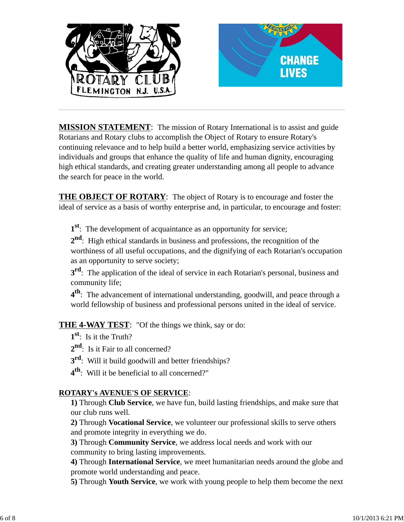

**MISSION STATEMENT**: The mission of Rotary International is to assist and guide Rotarians and Rotary clubs to accomplish the Object of Rotary to ensure Rotary's continuing relevance and to help build a better world, emphasizing service activities by individuals and groups that enhance the quality of life and human dignity, encouraging high ethical standards, and creating greater understanding among all people to advance the search for peace in the world.

**THE OBJECT OF ROTARY**: The object of Rotary is to encourage and foster the ideal of service as a basis of worthy enterprise and, in particular, to encourage and foster:

**1st**: The development of acquaintance as an opportunity for service;

**2nd**: High ethical standards in business and professions, the recognition of the worthiness of all useful occupations, and the dignifying of each Rotarian's occupation as an opportunity to serve society;

**3<sup>rd</sup>**: The application of the ideal of service in each Rotarian's personal, business and community life;

**4th**: The advancement of international understanding, goodwill, and peace through a world fellowship of business and professional persons united in the ideal of service.

**THE 4-WAY TEST**: "Of the things we think, say or do:

- **1st**: Is it the Truth?
- 2<sup>nd</sup>: Is it Fair to all concerned?
- **3rd**: Will it build goodwill and better friendships?
- **4th**: Will it be beneficial to all concerned?"

### **ROTARY's AVENUE'S OF SERVICE**:

**1)** Through **Club Service**, we have fun, build lasting friendships, and make sure that our club runs well.

**2)** Through **Vocational Service**, we volunteer our professional skills to serve others and promote integrity in everything we do.

**3)** Through **Community Service**, we address local needs and work with our community to bring lasting improvements.

**4)** Through **International Service**, we meet humanitarian needs around the globe and promote world understanding and peace.

**5)** Through **Youth Service**, we work with young people to help them become the next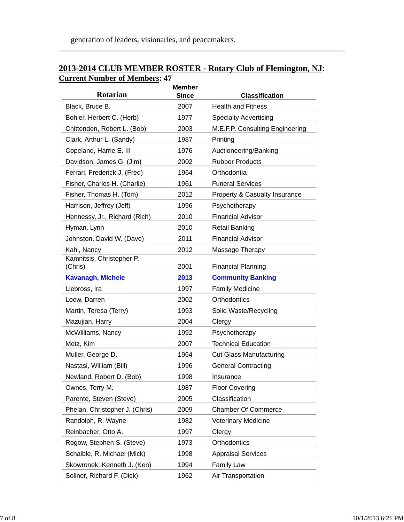### **2013-2014 CLUB MEMBER ROSTER - Rotary Club of Flemington, NJ**: **Current Number of Members: 47**

| <b>Rotarian</b>                      | <b>Member</b> |                                 |
|--------------------------------------|---------------|---------------------------------|
|                                      | <b>Since</b>  | <b>Classification</b>           |
| Black, Bruce B.                      | 2007          | <b>Health and Fitness</b>       |
| Bohler, Herbert C. (Herb)            | 1977          | <b>Specialty Advertising</b>    |
| Chittenden, Robert L. (Bob)          | 2003          | M.E.F.P. Consulting Engineering |
| Clark, Arthur L. (Sandy)             | 1987          | Printing                        |
| Copeland, Harrie E. III              | 1976          | Auctioneering/Banking           |
| Davidson, James G. (Jim)             | 2002          | <b>Rubber Products</b>          |
| Ferrari, Frederick J. (Fred)         | 1964          | Orthodontia                     |
| Fisher, Charles H. (Charlie)         | 1961          | <b>Funeral Services</b>         |
| Fisher, Thomas H. (Tom)              | 2012          | Property & Casualty Insurance   |
| Harrison, Jeffrey (Jeff)             | 1996          | Psychotherapy                   |
| Hennessy, Jr., Richard (Rich)        | 2010          | <b>Financial Advisor</b>        |
| Hyman, Lynn                          | 2010          | <b>Retail Banking</b>           |
| Johnston, David W. (Dave)            | 2011          | <b>Financial Advisor</b>        |
| Kahl, Nancy                          | 2012          | Massage Therapy                 |
| Kamnitsis, Christopher P.<br>(Chris) | 2001          | <b>Financial Planning</b>       |
| <b>Kavanagh, Michele</b>             | 2013          | <b>Community Banking</b>        |
| Liebross, Ira                        | 1997          | <b>Family Medicine</b>          |
| Loew, Darren                         | 2002          | Orthodontics                    |
| Martin, Teresa (Terry)               | 1993          | Solid Waste/Recycling           |
| Mazujian, Harry                      | 2004          | Clergy                          |
| McWilliams, Nancy                    | 1992          | Psychotherapy                   |
| Metz, Kim                            | 2007          | <b>Technical Education</b>      |
| Muller, George D.                    | 1964          | <b>Cut Glass Manufacturing</b>  |
| Nastasi, William (Bill)              | 1996          | <b>General Contracting</b>      |
| Newland, Robert D. (Bob)             | 1998          | Insurance                       |
| Ownes, Terry M.                      | 1987          | <b>Floor Covering</b>           |
| Parente, Steven (Steve)              | 2005          | Classification                  |
| Phelan, Christopher J. (Chris)       | 2009          | <b>Chamber Of Commerce</b>      |
| Randolph, R. Wayne                   | 1982          | <b>Veterinary Medicine</b>      |
| Reinbacher, Otto A.                  | 1997          | Clergy                          |
| Rogow, Stephen S. (Steve)            | 1973          | Orthodontics                    |
| Schaible, R. Michael (Mick)          | 1998          | <b>Appraisal Services</b>       |
| Skowronek, Kenneth J. (Ken)          | 1994          | <b>Family Law</b>               |
| Sollner, Richard F. (Dick)           | 1962          | Air Transportation              |